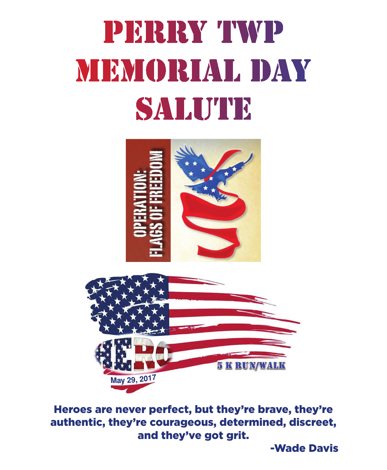# PERRY TWP MEMORIAL DAY SALUTE



Heroes are never perfect, but they're brave, they're authentic, they're courageous, determined, discreet, and they've got grit.

May 29, 2017

-Wade Davis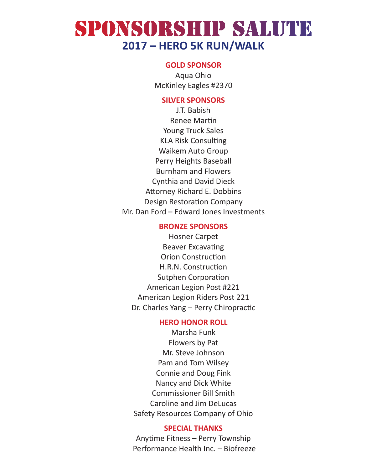### SPONSORSHIP SALUTE **2017 – HERO 5K RUN/WALK**

#### **GOLD SPONSOR**

Aqua Ohio McKinley Eagles #2370

#### **SILVER SPONSORS**

J.T. Babish Renee Martin Young Truck Sales KLA Risk Consulting Waikem Auto Group Perry Heights Baseball Burnham and Flowers Cynthia and David Dieck Attorney Richard E. Dobbins Design Restoration Company Mr. Dan Ford – Edward Jones Investments

#### **BRONZE SPONSORS**

Hosner Carpet Beaver Excavating Orion Construction H.R.N. Construction Sutphen Corporation American Legion Post #221 American Legion Riders Post 221 Dr. Charles Yang – Perry Chiropractic

#### **HERO HONOR ROLL**

Marsha Funk Flowers by Pat Mr. Steve Johnson Pam and Tom Wilsey Connie and Doug Fink Nancy and Dick White Commissioner Bill Smith Caroline and Jim DeLucas Safety Resources Company of Ohio

#### **SPECIAL THANKS**

Anytime Fitness – Perry Township Performance Health Inc. – Biofreeze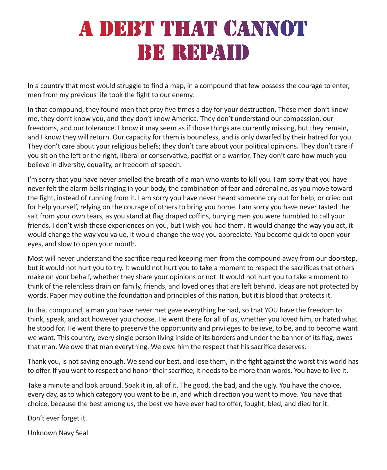### A DEBT THAT CANNOT **BE REPAID**

In a country that most would struggle to find a map, in a compound that few possess the courage to enter, men from my previous life took the fight to our enemy.

In that compound, they found men that pray five times a day for your destruction. Those men don't know me, they don't know you, and they don't know America. They don't understand our compassion, our freedoms, and our tolerance. I know it may seem as if those things are currently missing, but they remain, and I know they will return. Our capacity for them is boundless, and is only dwarfed by their hatred for you. They don't care about your religious beliefs; they don't care about your political opinions. They don't care if you sit on the left or the right, liberal or conservative, pacifist or a warrior. They don't care how much you believe in diversity, equality, or freedom of speech.

I'm sorry that you have never smelled the breath of a man who wants to kill you. I am sorry that you have never felt the alarm bells ringing in your body, the combination of fear and adrenaline, as you move toward the fight, instead of running from it. I am sorry you have never heard someone cry out for help, or cried out for help yourself, relying on the courage of others to bring you home. I am sorry you have never tasted the salt from your own tears, as you stand at flag draped coffins, burying men you were humbled to call your friends. I don't wish those experiences on you, but I wish you had them. It would change the way you act, it would change the way you value, it would change the way you appreciate. You become quick to open your eyes, and slow to open your mouth.

Most will never understand the sacrifice required keeping men from the compound away from our doorstep, but it would not hurt you to try. It would not hurt you to take a moment to respect the sacrifices that others make on your behalf, whether they share your opinions or not. It would not hurt you to take a moment to think of the relentless drain on family, friends, and loved ones that are left behind. Ideas are not protected by words. Paper may outline the foundation and principles of this nation, but it is blood that protects it.

In that compound, a man you have never met gave everything he had, so that YOU have the freedom to think, speak, and act however you choose. He went there for all of us, whether you loved him, or hated what he stood for. He went there to preserve the opportunity and privileges to believe, to be, and to become want we want. This country, every single person living inside of its borders and under the banner of its flag, owes that man. We owe that man everything. We owe him the respect that his sacrifice deserves.

Thank you, is not saying enough. We send our best, and lose them, in the fight against the worst this world has to offer. If you want to respect and honor their sacrifice, it needs to be more than words. You have to live it.

Take a minute and look around. Soak it in, all of it. The good, the bad, and the ugly. You have the choice, every day, as to which category you want to be in, and which direction you want to move. You have that choice, because the best among us, the best we have ever had to offer, fought, bled, and died for it.

Don't ever forget it.

Unknown Navy Seal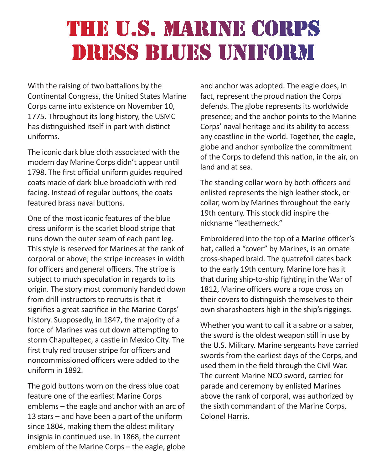### THE U.S. MARINE CORPS DRESS BLUES UNIFORM

With the raising of two battalions by the Continental Congress, the United States Marine Corps came into existence on November 10, 1775. Throughout its long history, the USMC has distinguished itself in part with distinct uniforms.

The iconic dark blue cloth associated with the modern day Marine Corps didn't appear until 1798. The first official uniform guides required coats made of dark blue broadcloth with red facing. Instead of regular buttons, the coats featured brass naval buttons.

One of the most iconic features of the blue dress uniform is the scarlet blood stripe that runs down the outer seam of each pant leg. This style is reserved for Marines at the rank of corporal or above; the stripe increases in width for officers and general officers. The stripe is subject to much speculation in regards to its origin. The story most commonly handed down from drill instructors to recruits is that it signifies a great sacrifice in the Marine Corps' history. Supposedly, in 1847, the majority of a force of Marines was cut down attempting to storm Chapultepec, a castle in Mexico City. The first truly red trouser stripe for officers and noncommissioned officers were added to the uniform in 1892.

The gold buttons worn on the dress blue coat feature one of the earliest Marine Corps emblems – the eagle and anchor with an arc of 13 stars – and have been a part of the uniform since 1804, making them the oldest military insignia in continued use. In 1868, the current emblem of the Marine Corps – the eagle, globe

and anchor was adopted. The eagle does, in fact, represent the proud nation the Corps defends. The globe represents its worldwide presence; and the anchor points to the Marine Corps' naval heritage and its ability to access any coastline in the world. Together, the eagle, globe and anchor symbolize the commitment of the Corps to defend this nation, in the air, on land and at sea.

The standing collar worn by both officers and enlisted represents the high leather stock, or collar, worn by Marines throughout the early 19th century. This stock did inspire the nickname "leatherneck."

Embroidered into the top of a Marine officer's hat, called a "cover" by Marines, is an ornate cross-shaped braid. The quatrefoil dates back to the early 19th century. Marine lore has it that during ship-to-ship fighting in the War of 1812, Marine officers wore a rope cross on their covers to distinguish themselves to their own sharpshooters high in the ship's riggings.

Whether you want to call it a sabre or a saber, the sword is the oldest weapon still in use by the U.S. Military. Marine sergeants have carried swords from the earliest days of the Corps, and used them in the field through the Civil War. The current Marine NCO sword, carried for parade and ceremony by enlisted Marines above the rank of corporal, was authorized by the sixth commandant of the Marine Corps, Colonel Harris.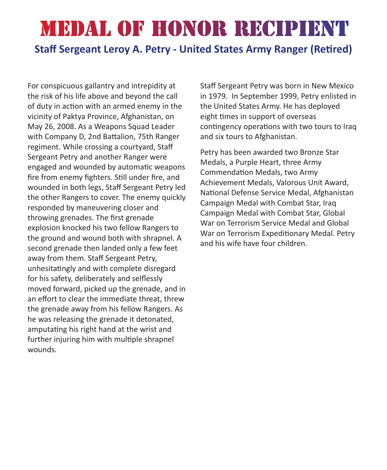## MEDAL OF HONOR RECIPIENT

#### **Staff Sergeant Leroy A. Petry - United States Army Ranger (Retired)**

For conspicuous gallantry and intrepidity at the risk of his life above and beyond the call of duty in action with an armed enemy in the vicinity of Paktya Province, Afghanistan, on May 26, 2008. As a Weapons Squad Leader with Company D, 2nd Battalion, 75th Ranger regiment. While crossing a courtyard, Staff Sergeant Petry and another Ranger were engaged and wounded by automatic weapons fire from enemy fighters. Still under fire, and wounded in both legs, Staff Sergeant Petry led the other Rangers to cover. The enemy quickly responded by maneuvering closer and throwing grenades. The first grenade explosion knocked his two fellow Rangers to the ground and wound both with shrapnel. A second grenade then landed only a few feet away from them. Staff Sergeant Petry, unhesitatingly and with complete disregard for his safety, deliberately and selflessly moved forward, picked up the grenade, and in an effort to clear the immediate threat, threw the grenade away from his fellow Rangers. As he was releasing the grenade it detonated, amputating his right hand at the wrist and further injuring him with multiple shrapnel wounds.

Staff Sergeant Petry was born in New Mexico in 1979. In September 1999, Petry enlisted in the United States Army. He has deployed eight times in support of overseas contingency operations with two tours to Iraq and six tours to Afghanistan.

Petry has been awarded two Bronze Star Medals, a Purple Heart, three Army Commendation Medals, two Army Achievement Medals, Valorous Unit Award, National Defense Service Medal, Afghanistan Campaign Medal with Combat Star, Iraq Campaign Medal with Combat Star, Global War on Terrorism Service Medal and Global War on Terrorism Expeditionary Medal. Petry and his wife have four children.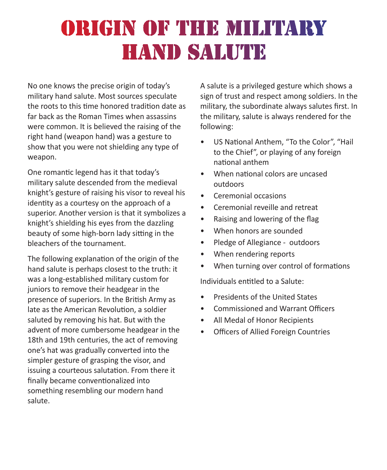## ORIGIN OF THE MILITARY **HAND SALUTE**

No one knows the precise origin of today's military hand salute. Most sources speculate the roots to this time honored tradition date as far back as the Roman Times when assassins were common. It is believed the raising of the right hand (weapon hand) was a gesture to show that you were not shielding any type of weapon.

One romantic legend has it that today's military salute descended from the medieval knight's gesture of raising his visor to reveal his identity as a courtesy on the approach of a superior. Another version is that it symbolizes a knight's shielding his eyes from the dazzling beauty of some high-born lady sitting in the bleachers of the tournament.

The following explanation of the origin of the hand salute is perhaps closest to the truth: it was a long-established military custom for juniors to remove their headgear in the presence of superiors. In the British Army as late as the American Revolution, a soldier saluted by removing his hat. But with the advent of more cumbersome headgear in the 18th and 19th centuries, the act of removing one's hat was gradually converted into the simpler gesture of grasping the visor, and issuing a courteous salutation. From there it finally became conventionalized into something resembling our modern hand salute.

A salute is a privileged gesture which shows a sign of trust and respect among soldiers. In the military, the subordinate always salutes first. In the military, salute is always rendered for the following:

- US National Anthem, "To the Color", "Hail to the Chief", or playing of any foreign national anthem
- When national colors are uncased outdoors
- Ceremonial occasions
- Ceremonial reveille and retreat
- Raising and lowering of the flag
- When honors are sounded
- Pledge of Allegiance outdoors
- When rendering reports
- When turning over control of formations

Individuals entitled to a Salute:

- Presidents of the United States
- Commissioned and Warrant Officers
- All Medal of Honor Recipients
- Officers of Allied Foreign Countries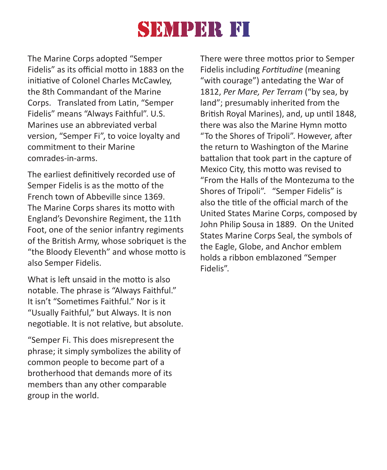### **SEMPER FI**

The Marine Corps adopted "Semper Fidelis" as its official motto in 1883 on the initiative of Colonel Charles McCawley, the 8th Commandant of the Marine Corps. Translated from Latin, "Semper Fidelis" means "Always Faithful". U.S. Marines use an abbreviated verbal version, "Semper Fi", to voice loyalty and commitment to their Marine comrades-in-arms.

The earliest definitively recorded use of Semper Fidelis is as the motto of the French town of Abbeville since 1369. The Marine Corps shares its motto with England's Devonshire Regiment, the 11th Foot, one of the senior infantry regiments of the British Army, whose sobriquet is the "the Bloody Eleventh" and whose motto is also Semper Fidelis.

What is left unsaid in the motto is also notable. The phrase is "Always Faithful." It isn't "Sometimes Faithful." Nor is it "Usually Faithful," but Always. It is non negotiable. It is not relative, but absolute.

"Semper Fi. This does misrepresent the phrase; it simply symbolizes the ability of common people to become part of a brotherhood that demands more of its members than any other comparable group in the world.

There were three mottos prior to Semper Fidelis including *Fortitudine* (meaning "with courage") antedating the War of 1812, *Per Mare, Per Terram* ("by sea, by land"; presumably inherited from the British Royal Marines), and, up until 1848, there was also the Marine Hymn motto "To the Shores of Tripoli". However, after the return to Washington of the Marine battalion that took part in the capture of Mexico City, this motto was revised to "From the Halls of the Montezuma to the Shores of Tripoli". "Semper Fidelis" is also the title of the official march of the United States Marine Corps, composed by John Philip Sousa in 1889. On the United States Marine Corps Seal, the symbols of the Eagle, Globe, and Anchor emblem holds a ribbon emblazoned "Semper Fidelis".